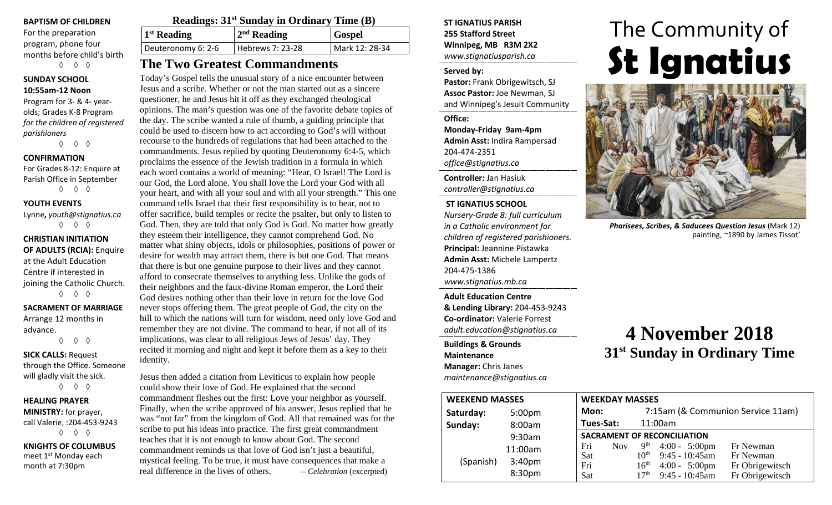#### **BAPTISM OF CHILDREN**

For the preparation program, phone four months before child's birth ◊ ◊ ◊

#### **SUNDAY SCHOOL 10:55am-12 Noon**

Program for 3- & 4- yearolds; Grades K-8 Program *for the children of registered parishioners*

◊ ◊ ◊

#### **CONFIRMATION**

For Grades 8-12: Enquire at Parish Office in September ◊ ◊ ◊

**YOUTH EVENTS**

Lynne**,** *youth@stignatius.ca* ◊ ◊ ◊

**CHRISTIAN INITIATION OF ADULTS (RCIA):** Enquire at the Adult Education Centre if interested in joining the Catholic Church. ◊ ◊ ◊

# **SACRAMENT OF MARRIAGE**

Arrange 12 months in advance. ◊ ◊ ◊

**SICK CALLS:** Request through the Office. Someone will gladly visit the sick.

◊ ◊ ◊

#### **HEALING PRAYER MINISTRY:** for prayer, call Valerie, :204-453-9243

◊ ◊ ◊

**KNIGHTS OF COLUMBUS** meet 1<sup>st</sup> Monday each month at 7:30pm

| <b>Readings: 31st Sunday in Ordinary Time (B)</b> |                  |                |  |  |
|---------------------------------------------------|------------------|----------------|--|--|
| $1st$ Reading                                     | $2nd$ Reading    | <b>Gospel</b>  |  |  |
| Deuteronomy 6: 2-6                                | Hebrews 7: 23-28 | Mark 12: 28-34 |  |  |

# **The Two Greatest Commandments**

Today's Gospel tells the unusual story of a nice encounter between Jesus and a scribe. Whether or not the man started out as a sincere questioner, he and Jesus hit it off as they exchanged theological opinions. The man's question was one of the favorite debate topics of the day. The scribe wanted a rule of thumb, a guiding principle that could be used to discern how to act according to God's will without recourse to the hundreds of regulations that had been attached to the commandments. Jesus replied by quoting Deuteronomy 6:4-5, which proclaims the essence of the Jewish tradition in a formula in which each word contains a world of meaning: "Hear, O Israel! The Lord is our God, the Lord alone. You shall love the Lord your God with all your heart, and with all your soul and with all your strength." This one command tells Israel that their first responsibility is to hear, not to offer sacrifice, build temples or recite the psalter, but only to listen to God. Then, they are told that only God is God. No matter how greatly they esteem their intelligence, they cannot comprehend God. No matter what shiny objects, idols or philosophies, positions of power or desire for wealth may attract them, there is but one God. That means that there is but one genuine purpose to their lives and they cannot afford to consecrate themselves to anything less. Unlike the gods of their neighbors and the faux-divine Roman emperor, the Lord their God desires nothing other than their love in return for the love God never stops offering them. The great people of God, the city on the hill to which the nations will turn for wisdom, need only love God and remember they are not divine. The command to hear, if not all of its implications, was clear to all religious Jews of Jesus' day. They recited it morning and night and kept it before them as a key to their identity.

Jesus then added a citation from Leviticus to explain how people could show their love of God. He explained that the second commandment fleshes out the first: Love your neighbor as yourself. Finally, when the scribe approved of his answer, Jesus replied that he was "not far" from the kingdom of God. All that remained was for the scribe to put his ideas into practice. The first great commandment teaches that it is not enough to know about God. The second commandment reminds us that love of God isn't just a beautiful, mystical feeling. To be true, it must have consequences that make a real difference in the lives of others. -- *Celebration* (excerpted)

**ST IGNATIUS PARISH 255 Stafford Street Winnipeg, MB R3M 2X2** *www.stignatiusparish.ca*

#### **Served by:**

**Pastor:** Frank Obrigewitsch, SJ **Assoc Pastor:** Joe Newman, SJ and Winnipeg's Jesuit Community

#### **Office:**

**Monday-Friday 9am-4pm Admin Asst:** Indira Rampersad 204-474-2351 *office@stignatius.ca*

**Controller:** Jan Hasiuk *controller@stignatius.ca*

#### **ST IGNATIUS SCHOOL**

*Nursery-Grade 8: full curriculum in a Catholic environment for children of registered parishioners.* **Principal:** Jeannine Pistawka **Admin Asst:** Michele Lampertz 204-475-1386 *www.stignatius.mb.ca*

**Adult Education Centre & Lending Library:** 204-453-9243 **Co-ordinator:** Valerie Forrest *adult.education@stignatius.ca*

#### **Buildings & Grounds Maintenance Manager:** Chris Janes *maintenance@stignatius.ca*

# The Community of **St Ignatius**



*Pharisees, Scribes, & Saducees Question Jesus* (Mark 12) painting, ~1890 by James Tissot'

# **4 November 2018 31st Sunday in Ordinary Time**

| <b>WEEKEND MASSES</b> |                    | <b>WEEKDAY MASSES</b> |                                      |                                              |                                   |
|-----------------------|--------------------|-----------------------|--------------------------------------|----------------------------------------------|-----------------------------------|
| Saturday:             | 5:00 <sub>pm</sub> | Mon:                  |                                      |                                              | 7:15am (& Communion Service 11am) |
| Sunday:               | 8:00am             | Tues-Sat:             |                                      | 11:00am                                      |                                   |
|                       | 9:30am             |                       |                                      | <b>SACRAMENT OF RECONCILIATION</b>           |                                   |
|                       | 11:00am            | Fri<br><b>Nov</b>     | 9 <sup>th</sup>                      | $4:00 - 5:00 \text{pm}$                      | Fr Newman                         |
| (Spanish)             | 3:40 <sub>pm</sub> | Sat<br>Fri            | 10 <sup>th</sup><br>$16^{\text{th}}$ | $9:45 - 10:45$ am<br>$4:00 - 5:00 \text{pm}$ | Fr Newman<br>Fr Obrigewitsch      |
|                       | 8:30pm             | Sat                   | 17 <sup>th</sup>                     | $9:45 - 10:45$ am                            | Fr Obrigewitsch                   |